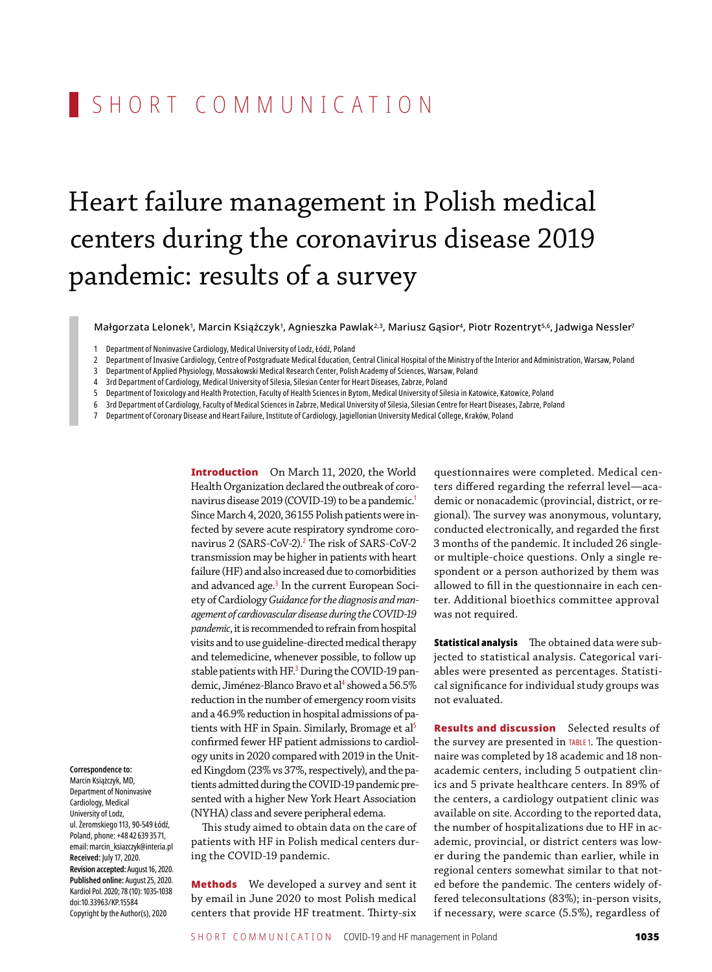## SHORT COMMUNICATION

# Heart failure management in Polish medical centers during the coronavirus disease 2019 pandemic: results of a survey

Małgorzata Lelonek', Marcin Książczyk', Agnieszka Pawlak<sup>2,3</sup>, Mariusz Gąsior<sup>4</sup>, Piotr Rozentryt<sup>5,6</sup>, Jadwiga Nessler<sup>,</sup>

- 2 Department of Invasive Cardiology, Centre of Postgraduate Medical Education, Central Clinical Hospital of the Ministry of the Interior and Administration, Warsaw, Poland
- 3 Department of Applied Physiology, Mossakowski Medical Research Center, Polish Academy of Sciences, Warsaw, Poland
- 4 3rd Department of Cardiology, Medical University of Silesia, Silesian Center for Heart Diseases, Zabrze, Poland
- 5 Department ofToxicology and Health Protection,Faculty of Health Sciences in Bytom, Medical University of Silesia in Katowice, Katowice, Poland
- 6 3rd Department of Cardiology,Faculty of Medical Sciences in Zabrze, Medical University of Silesia, Silesian Centre for Heart Diseases, Zabrze, Poland
- 7 Department of Coronary Disease and HeartFailure, Institute of Cardiology, Jagiellonian University Medical College, Kraków, Poland

Introduction On March 11, 2020, the World Health Organization declared the outbreak of coronavirus disease 2019 (COVID-19) to be a pandemic.<sup>1</sup> Since March 4, 2020, 36155 Polish patients were infected by severe acute respiratory syndrome coronavirus 2 (SARS -CoV-2).<sup>2</sup> The risk of SARS -CoV-2 transmission may be higher in patients with heart failure (HF) and also increased due to comorbidities and advanced age.<sup>3</sup> In the current European Society of Cardiology *Guidance for the diagnosis and man‑ agement of cardiovascular disease during the COVID‑19 pandemic*, it is recommended to refrain from hospital visits and to use guideline -directed medical therapy and telemedicine, whenever possible, to follow up stable patients with HF.<sup>3</sup> During the COVID-19 pandemic, Jiménez-Blanco Bravo et al<sup>4</sup> showed a 56.5% reduction in the number of emergency room visits and a 46.9% reduction in hospital admissions of patients with HF in Spain. Similarly, Bromage et al<sup>5</sup> confirmed fewer HF patient admissions to cardiology units in 2020 compared with 2019 in the United Kingdom (23% vs 37%, respectively), and the patients admitted during the COVID-19 pandemic presented with a higher New York Heart Association (NYHA) class and severe peripheral edema.

This study aimed to obtain data on the care of patients with HF in Polish medical centers during the COVID-19 pandemic.

**Methods** We developed a survey and sent it by email in June 2020 to most Polish medical centers that provide HF treatment. Thirty-six questionnaires were completed. Medical centers differed regarding the referral level—academic or nonacademic (provincial, district, or regional). The survey was anonymous, voluntary, conducted electronically, and regarded the first 3 months of the pandemic. It included 26 singleor multiple -choice questions. Only a single respondent or a person authorized by them was allowed to fill in the questionnaire in each center. Additional bioethics committee approval was not required.

Statistical analysis The obtained data were subjected to statistical analysis. Categorical variables were presented as percentages. Statistical significance for individual study groups was not evaluated.

**Results and discussion** Selected results of the survey are presented in TABLE1. The questionnaire was completed by 18 academic and 18 nonacademic centers, including 5 outpatient clinics and 5 private healthcare centers. In 89% of the centers, a cardiology outpatient clinic was available on site. According to the reported data, the number of hospitalizations due to HF in academic, provincial, or district centers was lower during the pandemic than earlier, while in regional centers somewhat similar to that noted before the pandemic. The centers widely offered teleconsultations (83%); in -person visits, if necessary, were scarce (5.5%), regardless of

**Correspondence to:** Marcin Książczyk, MD,

Department of Noninvasive Cardiology, Medical University of Lodz, ul. Żeromskiego 113, 90-549 Łódź, Poland, phone: +48 42 639 35 71, email:marcin\_ksiazczyk@interia.pl **Received:** July 17, 2020. **Revision accepted:** August 16, 2020. **Published online:** August 25, 2020. Kardiol Pol. 2020; 78 (10): 1035-1038 doi:10.33963/KP.15584 Copyright by the Author(s), 2020

Department of Noninvasive Cardiology, Medical University of Lodz, Łódź, Poland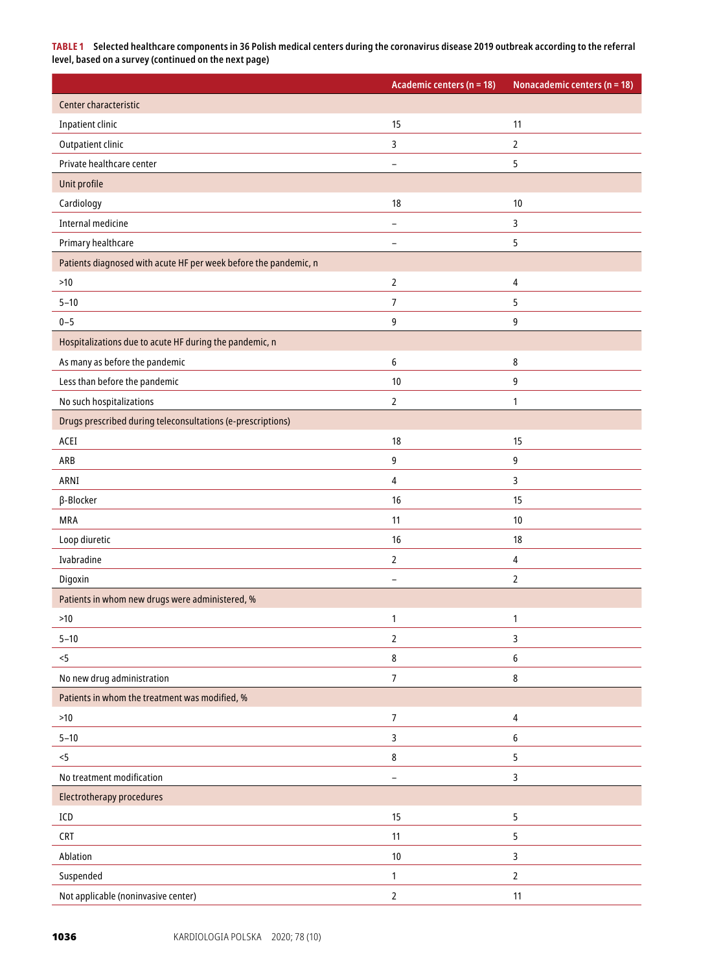**TABLE 1 Selected healthcare components in 36 Polish medical centers during the coronavirus disease 2019 outbreak according to the referral level, based on a survey (continued on the next page)**

|                                                                  | Academic centers (n = 18) | Nonacademic centers ( $n = 18$ ) |
|------------------------------------------------------------------|---------------------------|----------------------------------|
| Center characteristic                                            |                           |                                  |
| <b>Inpatient clinic</b>                                          | 15                        | 11                               |
| Outpatient clinic                                                | 3                         | 2                                |
| Private healthcare center                                        | $\overline{a}$            | 5                                |
| Unit profile                                                     |                           |                                  |
| Cardiology                                                       | 18                        | 10                               |
| <b>Internal medicine</b>                                         | $\overline{a}$            | 3                                |
| Primary healthcare                                               | $\overline{a}$            | 5                                |
| Patients diagnosed with acute HF per week before the pandemic, n |                           |                                  |
| $>10$                                                            | $\overline{2}$            | 4                                |
| $5 - 10$                                                         | $\overline{7}$            | 5                                |
| $0 - 5$                                                          | 9                         | 9                                |
| Hospitalizations due to acute HF during the pandemic, n          |                           |                                  |
| As many as before the pandemic                                   | 6                         | 8                                |
| Less than before the pandemic                                    | 10                        | 9                                |
| No such hospitalizations                                         | $\mathbf{2}$              | 1                                |
| Drugs prescribed during teleconsultations (e-prescriptions)      |                           |                                  |
| ACEI                                                             | 18                        | 15                               |
| ARB                                                              | 9                         | 9                                |
| ARNI                                                             | $\overline{4}$            | 3                                |
| β-Blocker                                                        | 16                        | 15                               |
| <b>MRA</b>                                                       | 11                        | 10                               |
| Loop diuretic                                                    | 16                        | 18                               |
| Ivabradine                                                       | $\overline{2}$            | 4                                |
| Digoxin                                                          | ۳                         | $\overline{2}$                   |
| Patients in whom new drugs were administered, %                  |                           |                                  |
| $>10$                                                            | 1                         | 1                                |
| $5 - 10$                                                         | $\overline{2}$            | 3                                |
| < 5                                                              | $\bf 8$                   | 6                                |
| No new drug administration                                       | $7\overline{ }$           | 8                                |
| Patients in whom the treatment was modified, %                   |                           |                                  |
| $>10$                                                            | $\overline{7}$            | 4                                |
| $5 - 10$                                                         | $\overline{3}$            | 6                                |
| $< 5$                                                            | $\bf 8$                   | 5                                |
| No treatment modification                                        | $\overline{\phantom{0}}$  | 3                                |
| Electrotherapy procedures                                        |                           |                                  |
| ICD                                                              | 15                        | 5                                |
| <b>CRT</b>                                                       | 11                        | 5                                |
| Ablation                                                         | $10\,$                    | 3                                |
| Suspended                                                        | $\mathbf{1}$              | $\overline{2}$                   |
| Not applicable (noninvasive center)                              | $\mathbf 2$               | 11                               |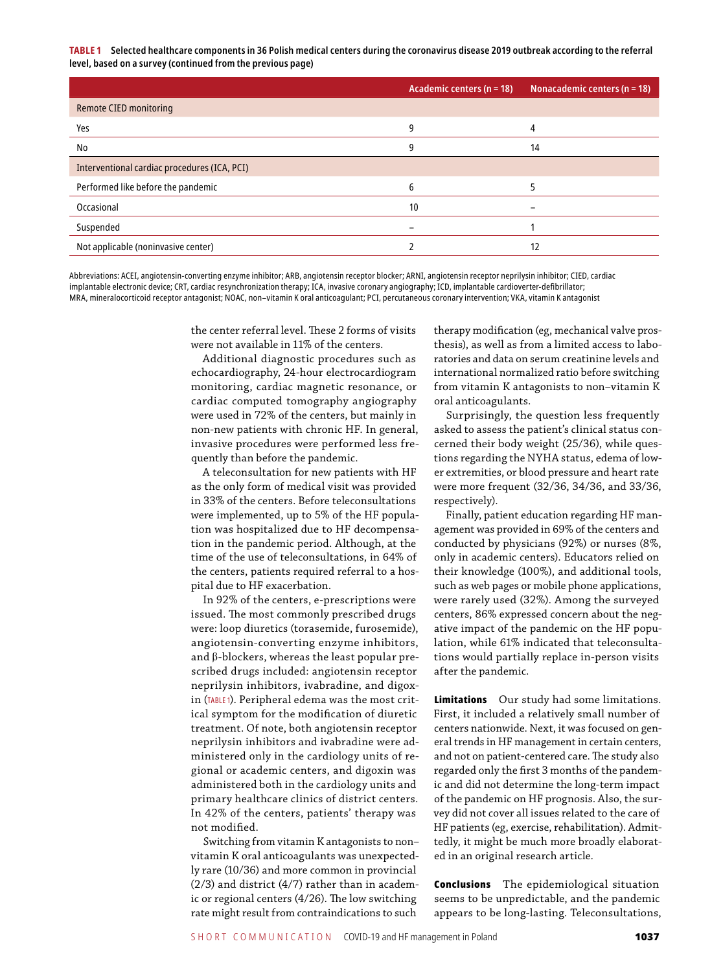**TABLE 1 Selected healthcare components in 36 Polish medical centers during the coronavirus disease 2019 outbreak according to the referral level, based on a survey (continued from the previous page)**

|                                              | Academic centers ( $n = 18$ ) | Nonacademic centers ( $n = 18$ ) |
|----------------------------------------------|-------------------------------|----------------------------------|
| <b>Remote CIED monitoring</b>                |                               |                                  |
| Yes                                          | 9                             | 4                                |
| No                                           | 9                             | 14                               |
| Interventional cardiac procedures (ICA, PCI) |                               |                                  |
| Performed like before the pandemic           | 6                             |                                  |
| Occasional                                   | 10                            |                                  |
| Suspended                                    |                               |                                  |
| Not applicable (noninvasive center)          |                               | 12                               |

Abbreviations: ACEI, angiotensin‑converting enzyme inhibitor; ARB, angiotensin receptor blocker; ARNI, angiotensin receptor neprilysin inhibitor; CIED, cardiac implantable electronic device; CRT, cardiac resynchronization therapy; ICA, invasive coronary angiography; ICD, implantable cardioverter‑defibrillator; MRA, mineralocorticoid receptor antagonist; NOAC, non–vitamin K oral anticoagulant; PCI, percutaneous coronary intervention; VKA, vitamin K antagonist

> the center referral level. These 2 forms of visits were not available in 11% of the centers.

Additional diagnostic procedures such as echocardiography, 24-hour electrocardiogram monitoring, cardiac magnetic resonance, or cardiac computed tomography angiography were used in 72% of the centers, but mainly in non-new patients with chronic HF. In general, invasive procedures were performed less frequently than before the pandemic.

A teleconsultation for new patients with HF as the only form of medical visit was provided in 33% of the centers. Before teleconsultations were implemented, up to 5% of the HF population was hospitalized due to HF decompensation in the pandemic period. Although, at the time of the use of teleconsultations, in 64% of the centers, patients required referral to a hospital due to HF exacerbation.

In 92% of the centers, e-prescriptions were issued. The most commonly prescribed drugs were: loop diuretics (torasemide, furosemide), angiotensin-converting enzyme inhibitors, and β -blockers, whereas the least popular prescribed drugs included: angiotensin receptor neprilysin inhibitors, ivabradine, and digoxin (TABLE 1). Peripheral edema was the most critical symptom for the modification of diuretic treatment. Of note, both angiotensin receptor neprilysin inhibitors and ivabradine were administered only in the cardiology units of regional or academic centers, and digoxin was administered both in the cardiology units and primary healthcare clinics of district centers. In 42% of the centers, patients' therapy was not modified.

Switching from vitamin K antagonists to non– vitamin K oral anticoagulants was unexpectedly rare (10/36) and more common in provincial (2/3) and district (4/7) rather than in academic or regional centers (4/26). The low switching rate might result from contraindications to such

therapy modification (eg, mechanical valve prosthesis), as well as from a limited access to laboratories and data on serum creatinine levels and international normalized ratio before switching from vitamin K antagonists to non–vitamin K oral anticoagulants.

Surprisingly, the question less frequently asked to assess the patient's clinical status concerned their body weight (25/36), while questions regarding the NYHA status, edema of lower extremities, or blood pressure and heart rate were more frequent (32/36, 34/36, and 33/36, respectively).

Finally, patient education regarding HF management was provided in 69% of the centers and conducted by physicians (92%) or nurses (8%, only in academic centers). Educators relied on their knowledge (100%), and additional tools, such as web pages or mobile phone applications, were rarely used (32%). Among the surveyed centers, 86% expressed concern about the negative impact of the pandemic on the HF population, while 61% indicated that teleconsultations would partially replace in -person visits after the pandemic.

**Limitations** Our study had some limitations. First, it included a relatively small number of centers nationwide. Next, it was focused on general trends in HF management in certain centers, and not on patient -centered care. The study also regarded only the first 3 months of the pandemic and did not determine the long-term impact of the pandemic on HF prognosis. Also, the survey did not cover all issues related to the care of HF patients (eg, exercise, rehabilitation). Admittedly, it might be much more broadly elaborated in an original research article.

Conclusions The epidemiological situation seems to be unpredictable, and the pandemic appears to be long-lasting. Teleconsultations,